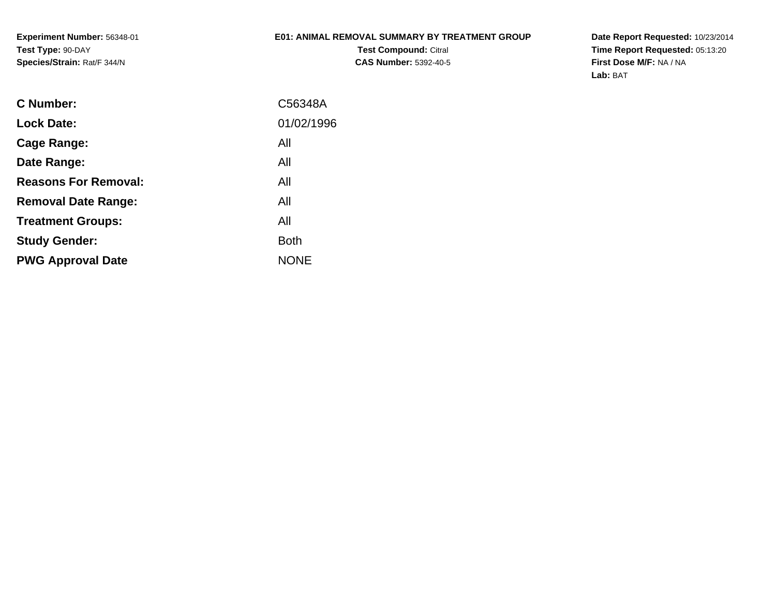**Experiment Number:** 56348-01**Test Type:** 90-DAY**Species/Strain:** Rat/F 344/N

### **E01: ANIMAL REMOVAL SUMMARY BY TREATMENT GROUP**

**Test Compound:** Citral **CAS Number:** 5392-40-5 **Date Report Requested:** 10/23/2014 **Time Report Requested:** 05:13:20**First Dose M/F:** NA / NA**Lab:** BAT

| <b>C</b> Number:            | C56348A     |
|-----------------------------|-------------|
| <b>Lock Date:</b>           | 01/02/1996  |
| Cage Range:                 | All         |
| Date Range:                 | All         |
| <b>Reasons For Removal:</b> | All         |
| <b>Removal Date Range:</b>  | All         |
| <b>Treatment Groups:</b>    | All         |
| <b>Study Gender:</b>        | Both        |
| <b>PWG Approval Date</b>    | <b>NONE</b> |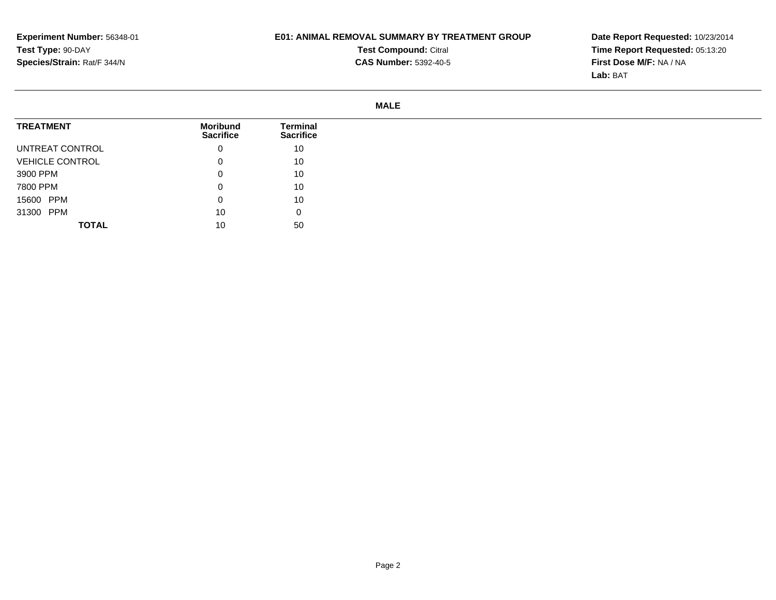## **E01: ANIMAL REMOVAL SUMMARY BY TREATMENT GROUP**

**Test Compound:** Citral **CAS Number:** 5392-40-5 **Date Report Requested:** 10/23/2014 **Time Report Requested:** 05:13:20**First Dose M/F:** NA / NA**Lab:** BAT

#### **MALE**

| <b>TREATMENT</b>       | <b>Moribund</b><br><b>Sacrifice</b> | <b>Terminal</b><br><b>Sacrifice</b> |
|------------------------|-------------------------------------|-------------------------------------|
| UNTREAT CONTROL        | 0                                   | 10                                  |
| <b>VEHICLE CONTROL</b> | 0                                   | 10                                  |
| 3900 PPM               | 0                                   | 10                                  |
| 7800 PPM               | 0                                   | 10                                  |
| 15600 PPM              | 0                                   | 10                                  |
| 31300 PPM              | 10                                  | 0                                   |
| <b>TOTAL</b>           | 10                                  | 50                                  |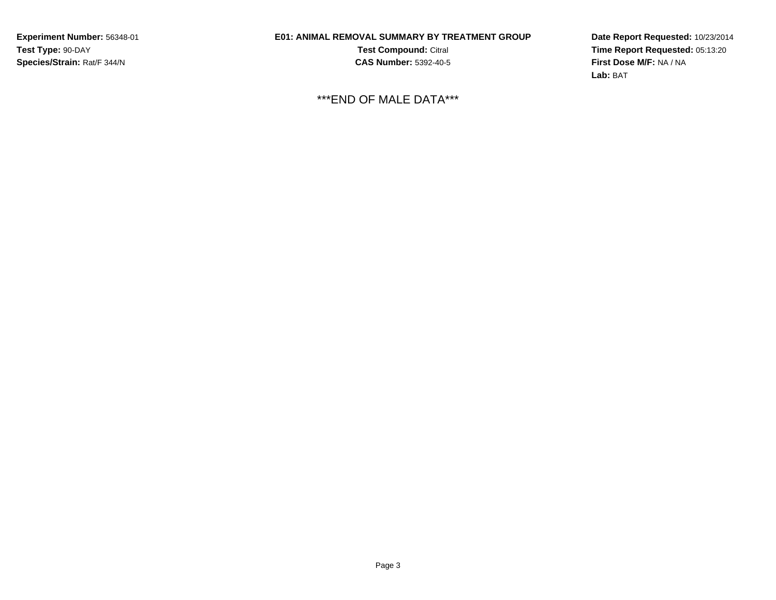**Experiment Number:** 56348-01**Test Type:** 90-DAY**Species/Strain:** Rat/F 344/N

# **E01: ANIMAL REMOVAL SUMMARY BY TREATMENT GROUP**

**Test Compound:** Citral **CAS Number:** 5392-40-5

\*\*\*END OF MALE DATA\*\*\*

**Date Report Requested:** 10/23/2014**Time Report Requested:** 05:13:20**First Dose M/F:** NA / NA**Lab:** BAT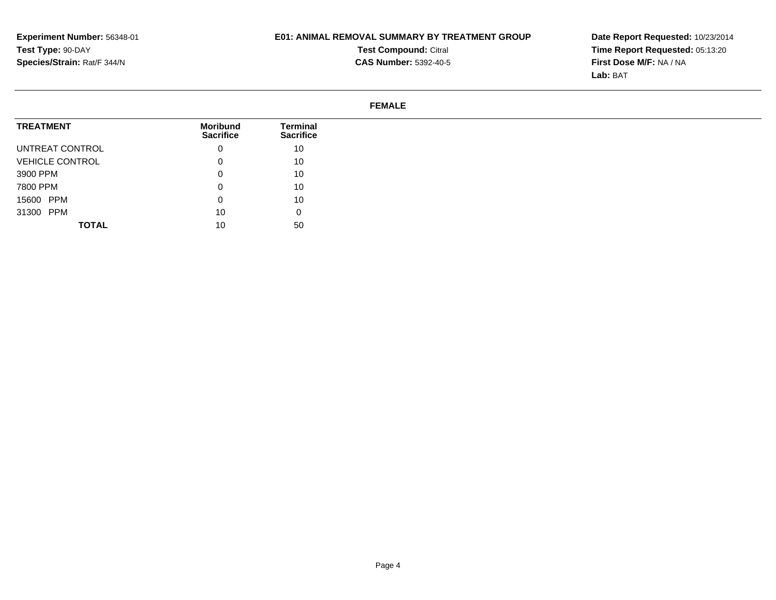## **E01: ANIMAL REMOVAL SUMMARY BY TREATMENT GROUP**

**Test Compound:** Citral **CAS Number:** 5392-40-5 **Date Report Requested:** 10/23/2014 **Time Report Requested:** 05:13:20**First Dose M/F:** NA / NA**Lab:** BAT

### **FEMALE**

| <b>TREATMENT</b>       |              | Moribund<br><b>Sacrifice</b> | Terminal<br><b>Sacrifice</b> |
|------------------------|--------------|------------------------------|------------------------------|
| UNTREAT CONTROL        |              | υ                            | 10                           |
| <b>VEHICLE CONTROL</b> |              |                              | 10                           |
| 3900 PPM               |              | O                            | 10 <sup>°</sup>              |
| 7800 PPM               |              | O                            | 10                           |
| 15600 PPM              |              | 0                            | 10                           |
| 31300 PPM              |              | 10                           | 0                            |
|                        | <b>TOTAL</b> | 10                           | 50                           |